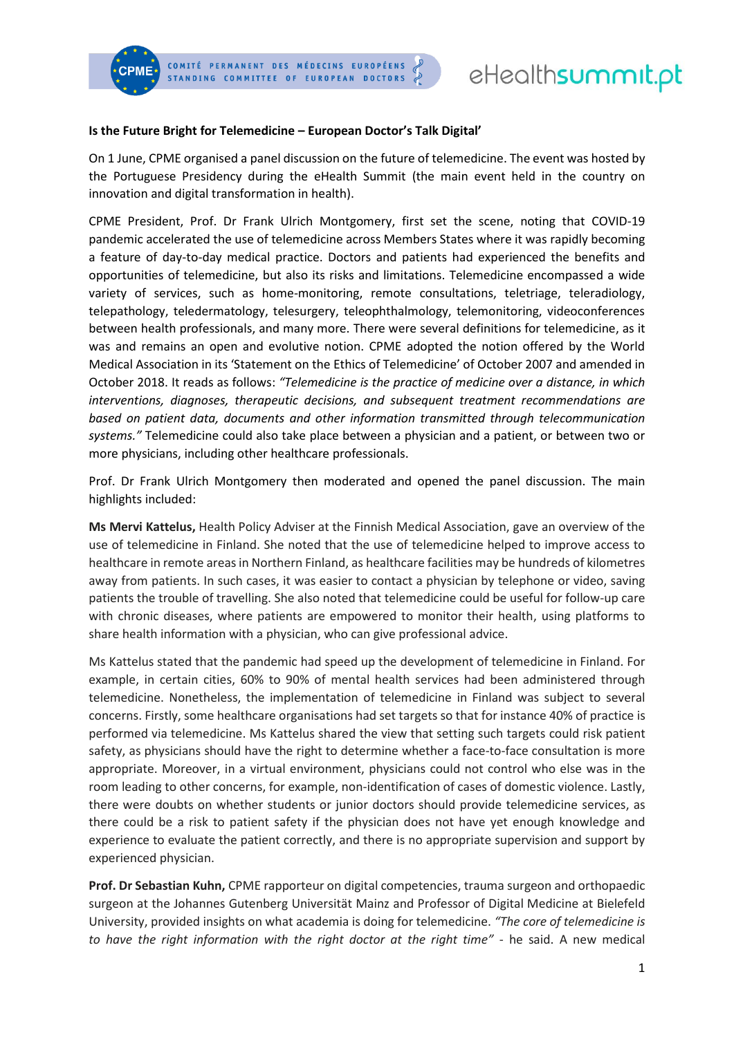

# eHealthsummit.pt

### **Is the Future Bright for Telemedicine – European Doctor's Talk Digital'**

On 1 June, CPME organised a panel discussion on the future of telemedicine. The event was hosted by the Portuguese Presidency during the eHealth Summit (the main event held in the country on innovation and digital transformation in health).

CPME President, Prof. Dr Frank Ulrich Montgomery, first set the scene, noting that COVID-19 pandemic accelerated the use of telemedicine across Members States where it was rapidly becoming a feature of day-to-day medical practice. Doctors and patients had experienced the benefits and opportunities of telemedicine, but also its risks and limitations. Telemedicine encompassed a wide variety of services, such as home-monitoring, remote consultations, teletriage, teleradiology, telepathology, teledermatology, telesurgery, teleophthalmology, telemonitoring, videoconferences between health professionals, and many more. There were several definitions for telemedicine, as it was and remains an open and evolutive notion. CPME adopted the notion offered by the World Medical Association in its 'Statement on the Ethics of Telemedicine' of October 2007 and amended in October 2018. It reads as follows: *"Telemedicine is the practice of medicine over a distance, in which interventions, diagnoses, therapeutic decisions, and subsequent treatment recommendations are based on patient data, documents and other information transmitted through telecommunication systems."* Telemedicine could also take place between a physician and a patient, or between two or more physicians, including other healthcare professionals.

Prof. Dr Frank Ulrich Montgomery then moderated and opened the panel discussion. The main highlights included:

**Ms Mervi Kattelus,** Health Policy Adviser at the Finnish Medical Association, gave an overview of the use of telemedicine in Finland. She noted that the use of telemedicine helped to improve access to healthcare in remote areas in Northern Finland, as healthcare facilities may be hundreds of kilometres away from patients. In such cases, it was easier to contact a physician by telephone or video, saving patients the trouble of travelling. She also noted that telemedicine could be useful for follow-up care with chronic diseases, where patients are empowered to monitor their health, using platforms to share health information with a physician, who can give professional advice.

Ms Kattelus stated that the pandemic had speed up the development of telemedicine in Finland. For example, in certain cities, 60% to 90% of mental health services had been administered through telemedicine. Nonetheless, the implementation of telemedicine in Finland was subject to several concerns. Firstly, some healthcare organisations had set targets so that for instance 40% of practice is performed via telemedicine. Ms Kattelus shared the view that setting such targets could risk patient safety, as physicians should have the right to determine whether a face-to-face consultation is more appropriate. Moreover, in a virtual environment, physicians could not control who else was in the room leading to other concerns, for example, non-identification of cases of domestic violence. Lastly, there were doubts on whether students or junior doctors should provide telemedicine services, as there could be a risk to patient safety if the physician does not have yet enough knowledge and experience to evaluate the patient correctly, and there is no appropriate supervision and support by experienced physician.

**Prof. Dr Sebastian Kuhn,** CPME rapporteur on digital competencies, trauma surgeon and orthopaedic surgeon at the Johannes Gutenberg Universität Mainz and Professor of Digital Medicine at Bielefeld University, provided insights on what academia is doing for telemedicine. *"The core of telemedicine is to have the right information with the right doctor at the right time"* - he said. A new medical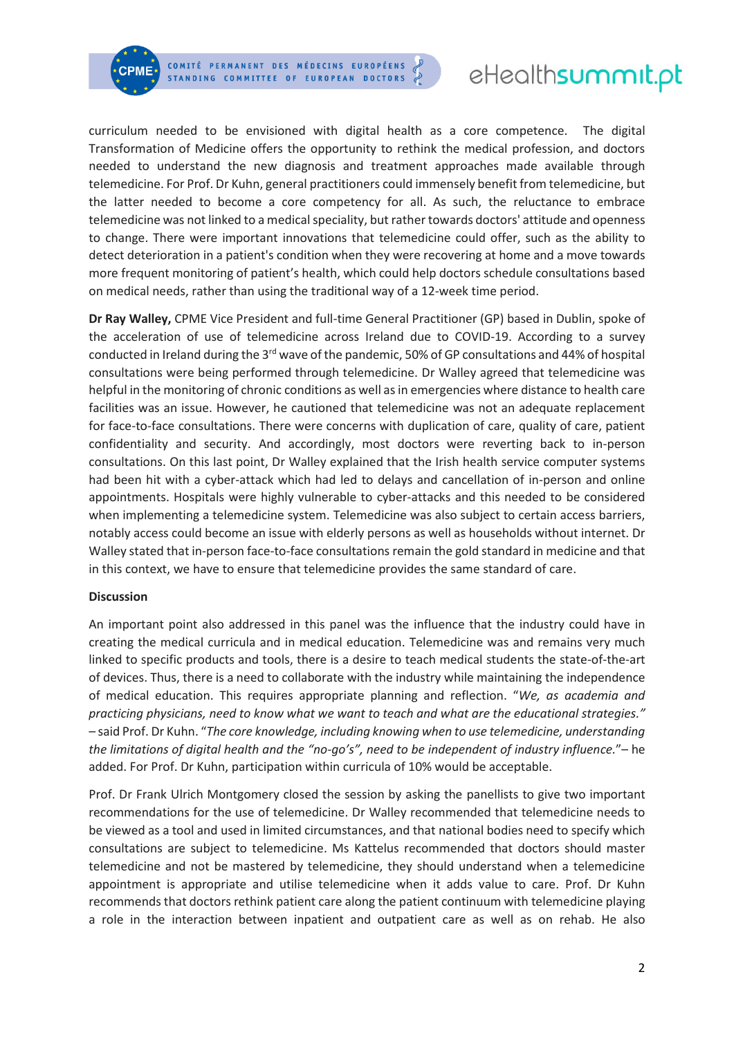

# eHealthsummit.pt

curriculum needed to be envisioned with digital health as a core competence. The digital Transformation of Medicine offers the opportunity to rethink the medical profession, and doctors needed to understand the new diagnosis and treatment approaches made available through telemedicine. For Prof. Dr Kuhn, general practitioners could immensely benefit from telemedicine, but the latter needed to become a core competency for all. As such, the reluctance to embrace telemedicine was not linked to a medical speciality, but rather towards doctors' attitude and openness to change. There were important innovations that telemedicine could offer, such as the ability to detect deterioration in a patient's condition when they were recovering at home and a move towards more frequent monitoring of patient's health, which could help doctors schedule consultations based on medical needs, rather than using the traditional way of a 12-week time period.

**Dr Ray Walley,** CPME Vice President and full-time General Practitioner (GP) based in Dublin, spoke of the acceleration of use of telemedicine across Ireland due to COVID-19. According to a survey conducted in Ireland during the 3<sup>rd</sup> wave of the pandemic, 50% of GP consultations and 44% of hospital consultations were being performed through telemedicine. Dr Walley agreed that telemedicine was helpful in the monitoring of chronic conditions as well as in emergencies where distance to health care facilities was an issue. However, he cautioned that telemedicine was not an adequate replacement for face-to-face consultations. There were concerns with duplication of care, quality of care, patient confidentiality and security. And accordingly, most doctors were reverting back to in-person consultations. On this last point, Dr Walley explained that the Irish health service computer systems had been hit with a cyber-attack which had led to delays and cancellation of in-person and online appointments. Hospitals were highly vulnerable to cyber-attacks and this needed to be considered when implementing a telemedicine system. Telemedicine was also subject to certain access barriers, notably access could become an issue with elderly persons as well as households without internet. Dr Walley stated that in-person face-to-face consultations remain the gold standard in medicine and that in this context, we have to ensure that telemedicine provides the same standard of care.

#### **Discussion**

An important point also addressed in this panel was the influence that the industry could have in creating the medical curricula and in medical education. Telemedicine was and remains very much linked to specific products and tools, there is a desire to teach medical students the state-of-the-art of devices. Thus, there is a need to collaborate with the industry while maintaining the independence of medical education. This requires appropriate planning and reflection. "*We, as academia and practicing physicians, need to know what we want to teach and what are the educational strategies." –* said Prof. Dr Kuhn. "*The core knowledge, including knowing when to use telemedicine, understanding the limitations of digital health and the "no-go's", need to be independent of industry influence.*"– he added. For Prof. Dr Kuhn, participation within curricula of 10% would be acceptable.

Prof. Dr Frank Ulrich Montgomery closed the session by asking the panellists to give two important recommendations for the use of telemedicine. Dr Walley recommended that telemedicine needs to be viewed as a tool and used in limited circumstances, and that national bodies need to specify which consultations are subject to telemedicine. Ms Kattelus recommended that doctors should master telemedicine and not be mastered by telemedicine, they should understand when a telemedicine appointment is appropriate and utilise telemedicine when it adds value to care. Prof. Dr Kuhn recommends that doctors rethink patient care along the patient continuum with telemedicine playing a role in the interaction between inpatient and outpatient care as well as on rehab. He also